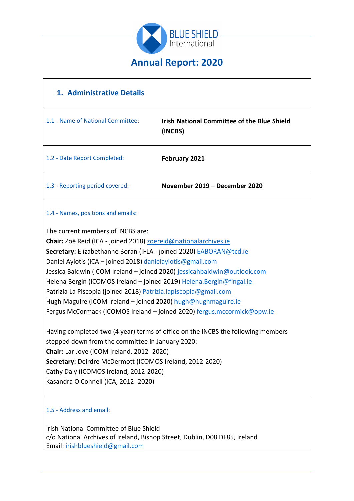

# **1. Administrative Details** 1.1 - Name of National Committee: **Irish National Committee of the Blue Shield (INCBS)** 1.2 - Date Report Completed: **February 2021** 1.3 - Reporting period covered: **November 2019 – December 2020** 1.4 - Names, positions and emails: The current members of INCBS are: **Chair:** Zoë Reid (ICA - joined 2018) [zoereid@nationalarchives.ie](mailto:zoereid@nationalarchives.ie) **Secretary:** Elizabethanne Boran (IFLA - joined 2020) [EABORAN@tcd.ie](mailto:EABORAN@tcd.ie) Daniel Ayiotis (ICA – joined 2018) [danielayiotis@gmail.com](mailto:danielayiotis@gmail.com) Jessica Baldwin (ICOM Ireland – joined 2020) [jessicahbaldwin@outlook.com](mailto:jessicahbaldwin@outlook.com) Helena Bergin (ICOMOS Ireland – joined 2019) [Helena.Bergin@fingal.ie](mailto:Helena.Bergin@fingal.ie) Patrizia La Piscopia (joined 2018) [Patrizia.lapiscopia@gmail.com](mailto:Patrizia.lapiscopia@gmail.com) Hugh Maguire (ICOM Ireland – joined 2020) [hugh@hughmaguire.ie](mailto:hugh@hughmaguire.ie) Fergus McCormack (ICOMOS Ireland – joined 2020) [fergus.mccormick@opw.ie](mailto:fergus.mccormick@opw.ie) Having completed two (4 year) terms of office on the INCBS the following members stepped down from the committee in January 2020: **Chair:** Lar Joye (ICOM Ireland, 2012- 2020) **Secretary:** Deirdre McDermott (ICOMOS Ireland, 2012-2020) Cathy Daly (ICOMOS Ireland, 2012-2020) Kasandra O'Connell (ICA, 2012- 2020)

#### 1.5 - Address and email:

Irish National Committee of Blue Shield c/o National Archives of Ireland, Bishop Street, Dublin, D08 DF85, Ireland Email: [irishblueshield@gmail.com](mailto:irishblueshield@gmail.com)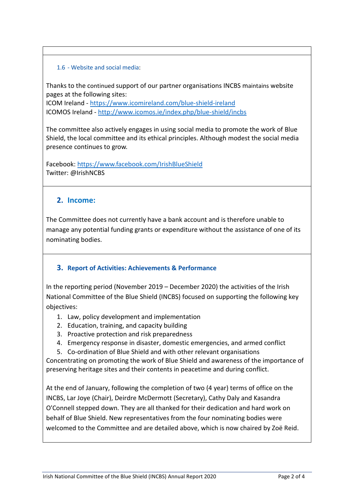#### 1.6 - Website and social media:

Thanks to the continued support of our partner organisations INCBS maintains website pages at the following sites:

ICOM Ireland - <https://www.icomireland.com/blue-shield-ireland> ICOMOS Ireland - <http://www.icomos.ie/index.php/blue-shield/incbs>

The committee also actively engages in using social media to promote the work of Blue Shield, the local committee and its ethical principles. Although modest the social media presence continues to grow.

Facebook:<https://www.facebook.com/IrishBlueShield> Twitter: @IrishNCBS

#### **2. Income:**

The Committee does not currently have a bank account and is therefore unable to manage any potential funding grants or expenditure without the assistance of one of its nominating bodies.

#### **3. Report of Activities: Achievements & Performance**

In the reporting period (November 2019 – December 2020) the activities of the Irish National Committee of the Blue Shield (INCBS) focused on supporting the following key objectives:

- 1. Law, policy development and implementation
- 2. Education, training, and capacity building
- 3. Proactive protection and risk preparedness
- 4. Emergency response in disaster, domestic emergencies, and armed conflict
- 5. Co-ordination of Blue Shield and with other relevant organisations

Concentrating on promoting the work of Blue Shield and awareness of the importance of preserving heritage sites and their contents in peacetime and during conflict.

At the end of January, following the completion of two (4 year) terms of office on the INCBS, Lar Joye (Chair), Deirdre McDermott (Secretary), Cathy Daly and Kasandra O'Connell stepped down. They are all thanked for their dedication and hard work on behalf of Blue Shield. New representatives from the four nominating bodies were welcomed to the Committee and are detailed above, which is now chaired by Zoë Reid.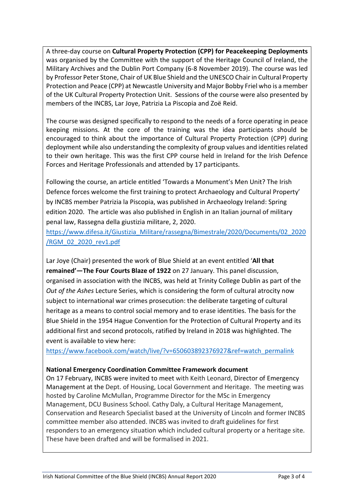A three-day course on **Cultural Property Protection (CPP) for Peacekeeping Deployments**  was organised by the Committee with the support of the Heritage Council of Ireland, the Military Archives and the Dublin Port Company (6-8 November 2019). The course was led by Professor Peter Stone, Chair of UK Blue Shield and the UNESCO Chair in Cultural Property Protection and Peace (CPP) at Newcastle University and Major Bobby Friel who is a member of the UK Cultural Property Protection Unit. Sessions of the course were also presented by members of the INCBS, Lar Joye, Patrizia La Piscopia and Zoë Reid.

The course was designed specifically to respond to the needs of a force operating in peace keeping missions. At the core of the training was the idea participants should be encouraged to think about the importance of Cultural Property Protection (CPP) during deployment while also understanding the complexity of group values and identities related to their own heritage. This was the first CPP course held in Ireland for the Irish Defence Forces and Heritage Professionals and attended by 17 participants.

Following the course, an article entitled 'Towards a Monument's Men Unit? The Irish Defence forces welcome the first training to protect Archaeology and Cultural Property' by INCBS member Patrizia la Piscopia, was published in Archaeology Ireland: Spring edition 2020. The article was also published in English in an Italian journal of military penal law, Rassegna della giustizia militare, 2, 2020.

[https://www.difesa.it/Giustizia\\_Militare/rassegna/Bimestrale/2020/Documents/02\\_2020](https://www.difesa.it/Giustizia_Militare/rassegna/Bimestrale/2020/Documents/02_2020/RGM_02_2020_rev1.pdf) [/RGM\\_02\\_2020\\_rev1.pdf](https://www.difesa.it/Giustizia_Militare/rassegna/Bimestrale/2020/Documents/02_2020/RGM_02_2020_rev1.pdf)

Lar Joye (Chair) presented the work of Blue Shield at an event entitled '**All that remained'—The Four Courts Blaze of 1922** on 27 January. This panel discussion, organised in association with the INCBS, was held at Trinity College Dublin as part of the *Out of the Ashes* Lecture Series, which is considering the form of cultural atrocity now subject to international war crimes prosecution: the deliberate targeting of cultural heritage as a means to control social memory and to erase identities. The basis for the Blue Shield in the 1954 Hague Convention for the Protection of Cultural Property and its additional first and second protocols, ratified by Ireland in 2018 was highlighted. The event is available to view here:

[https://www.facebook.com/watch/live/?v=650603892376927&ref=watch\\_permalink](https://www.facebook.com/watch/live/?v=650603892376927&ref=watch_permalink)

#### **National Emergency Coordination Committee Framework document**

On 17 February, INCBS were invited to meet with Keith Leonard, Director of Emergency Management at the Dept. of Housing, Local Government and Heritage. The meeting was hosted by Caroline McMullan, Programme Director for the MSc in Emergency Management, DCU Business School. Cathy Daly, a Cultural Heritage Management, Conservation and Research Specialist based at the University of Lincoln and former INCBS committee member also attended. INCBS was invited to draft guidelines for first responders to an emergency situation which included cultural property or a heritage site. These have been drafted and will be formalised in 2021.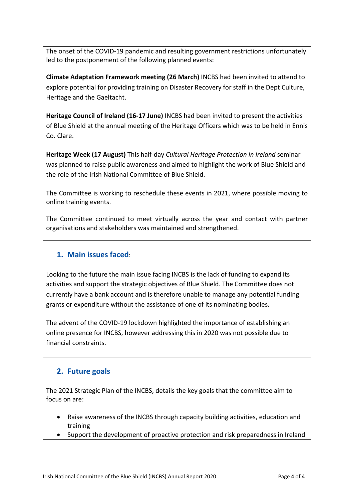The onset of the COVID-19 pandemic and resulting government restrictions unfortunately led to the postponement of the following planned events:

**Climate Adaptation Framework meeting (26 March)** INCBS had been invited to attend to explore potential for providing training on Disaster Recovery for staff in the Dept Culture, Heritage and the Gaeltacht.

**Heritage Council of Ireland (16-17 June)** INCBS had been invited to present the activities of Blue Shield at the annual meeting of the Heritage Officers which was to be held in Ennis Co. Clare.

**Heritage Week (17 August)** This half-day *Cultural Heritage Protection in Ireland* seminar was planned to raise public awareness and aimed to highlight the work of Blue Shield and the role of the Irish National Committee of Blue Shield.

The Committee is working to reschedule these events in 2021, where possible moving to online training events.

The Committee continued to meet virtually across the year and contact with partner organisations and stakeholders was maintained and strengthened.

## **1. Main issues faced**:

Looking to the future the main issue facing INCBS is the lack of funding to expand its activities and support the strategic objectives of Blue Shield. The Committee does not currently have a bank account and is therefore unable to manage any potential funding grants or expenditure without the assistance of one of its nominating bodies.

The advent of the COVID-19 lockdown highlighted the importance of establishing an online presence for INCBS, however addressing this in 2020 was not possible due to financial constraints.

### **2. Future goals**

The 2021 Strategic Plan of the INCBS, details the key goals that the committee aim to focus on are:

- Raise awareness of the INCBS through capacity building activities, education and training
- Support the development of proactive protection and risk preparedness in Ireland